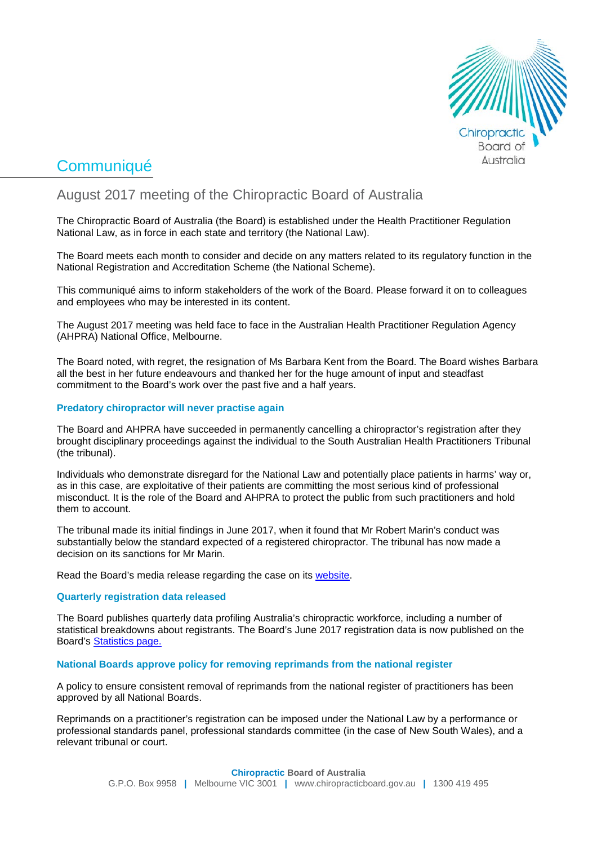

# **Communiqué**

# August 2017 meeting of the Chiropractic Board of Australia

The Chiropractic Board of Australia (the Board) is established under the Health Practitioner Regulation National Law, as in force in each state and territory (the National Law).

The Board meets each month to consider and decide on any matters related to its regulatory function in the National Registration and Accreditation Scheme (the National Scheme).

This communiqué aims to inform stakeholders of the work of the Board. Please forward it on to colleagues and employees who may be interested in its content.

The August 2017 meeting was held face to face in the Australian Health Practitioner Regulation Agency (AHPRA) National Office, Melbourne.

The Board noted, with regret, the resignation of Ms Barbara Kent from the Board. The Board wishes Barbara all the best in her future endeavours and thanked her for the huge amount of input and steadfast commitment to the Board's work over the past five and a half years.

# **Predatory chiropractor will never practise again**

The Board and AHPRA have succeeded in permanently cancelling a chiropractor's registration after they brought disciplinary proceedings against the individual to the South Australian Health Practitioners Tribunal (the tribunal).

Individuals who demonstrate disregard for the National Law and potentially place patients in harms' way or, as in this case, are exploitative of their patients are committing the most serious kind of professional misconduct. It is the role of the Board and AHPRA to protect the public from such practitioners and hold them to account.

The tribunal made its initial findings in June 2017, when it found that Mr Robert Marin's conduct was substantially below the standard expected of a registered chiropractor. The tribunal has now made a decision on its sanctions for Mr Marin.

Read the Board's media release regarding the case on its [website.](http://www.chiropracticboard.gov.au/News/2017-08-30-predatory-chiropractor.aspx)

# **Quarterly registration data released**

The Board publishes quarterly data profiling Australia's chiropractic workforce, including a number of statistical breakdowns about registrants. The Board's June 2017 registration data is now published on the Board's [Statistics page.](http://www.chiropracticboard.gov.au/About/Statistics.aspx)

# **National Boards approve policy for removing reprimands from the national register**

A policy to ensure consistent removal of reprimands from the national register of practitioners has been approved by all National Boards.

Reprimands on a practitioner's registration can be imposed under the National Law by a performance or professional standards panel, professional standards committee (in the case of New South Wales), and a relevant tribunal or court.